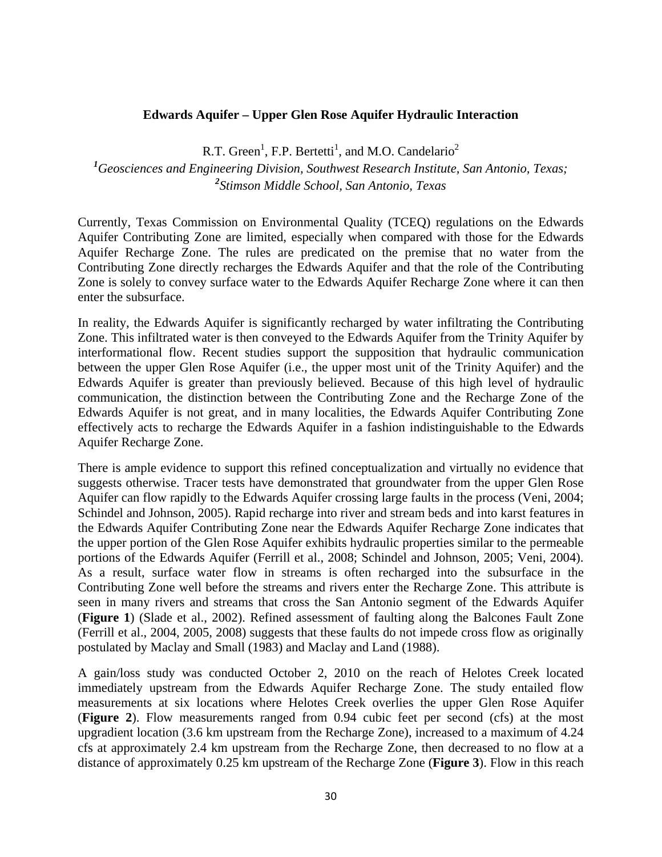## **Edwards Aquifer – Upper Glen Rose Aquifer Hydraulic Interaction**

R.T. Green<sup>1</sup>, F.P. Bertetti<sup>1</sup>, and M.O. Candelario<sup>2</sup>

*1 Geosciences and Engineering Division, Southwest Research Institute, San Antonio, Texas; 2 Stimson Middle School, San Antonio, Texas* 

Currently, Texas Commission on Environmental Quality (TCEQ) regulations on the Edwards Aquifer Contributing Zone are limited, especially when compared with those for the Edwards Aquifer Recharge Zone. The rules are predicated on the premise that no water from the Contributing Zone directly recharges the Edwards Aquifer and that the role of the Contributing Zone is solely to convey surface water to the Edwards Aquifer Recharge Zone where it can then enter the subsurface.

In reality, the Edwards Aquifer is significantly recharged by water infiltrating the Contributing Zone. This infiltrated water is then conveyed to the Edwards Aquifer from the Trinity Aquifer by interformational flow. Recent studies support the supposition that hydraulic communication between the upper Glen Rose Aquifer (i.e., the upper most unit of the Trinity Aquifer) and the Edwards Aquifer is greater than previously believed. Because of this high level of hydraulic communication, the distinction between the Contributing Zone and the Recharge Zone of the Edwards Aquifer is not great, and in many localities, the Edwards Aquifer Contributing Zone effectively acts to recharge the Edwards Aquifer in a fashion indistinguishable to the Edwards Aquifer Recharge Zone.

There is ample evidence to support this refined conceptualization and virtually no evidence that suggests otherwise. Tracer tests have demonstrated that groundwater from the upper Glen Rose Aquifer can flow rapidly to the Edwards Aquifer crossing large faults in the process (Veni, 2004; Schindel and Johnson, 2005). Rapid recharge into river and stream beds and into karst features in the Edwards Aquifer Contributing Zone near the Edwards Aquifer Recharge Zone indicates that the upper portion of the Glen Rose Aquifer exhibits hydraulic properties similar to the permeable portions of the Edwards Aquifer (Ferrill et al., 2008; Schindel and Johnson, 2005; Veni, 2004). As a result, surface water flow in streams is often recharged into the subsurface in the Contributing Zone well before the streams and rivers enter the Recharge Zone. This attribute is seen in many rivers and streams that cross the San Antonio segment of the Edwards Aquifer (**Figure 1**) (Slade et al., 2002). Refined assessment of faulting along the Balcones Fault Zone (Ferrill et al., 2004, 2005, 2008) suggests that these faults do not impede cross flow as originally postulated by Maclay and Small (1983) and Maclay and Land (1988).

A gain/loss study was conducted October 2, 2010 on the reach of Helotes Creek located immediately upstream from the Edwards Aquifer Recharge Zone. The study entailed flow measurements at six locations where Helotes Creek overlies the upper Glen Rose Aquifer (**Figure 2**). Flow measurements ranged from 0.94 cubic feet per second (cfs) at the most upgradient location (3.6 km upstream from the Recharge Zone), increased to a maximum of 4.24 cfs at approximately 2.4 km upstream from the Recharge Zone, then decreased to no flow at a distance of approximately 0.25 km upstream of the Recharge Zone (**Figure 3**). Flow in this reach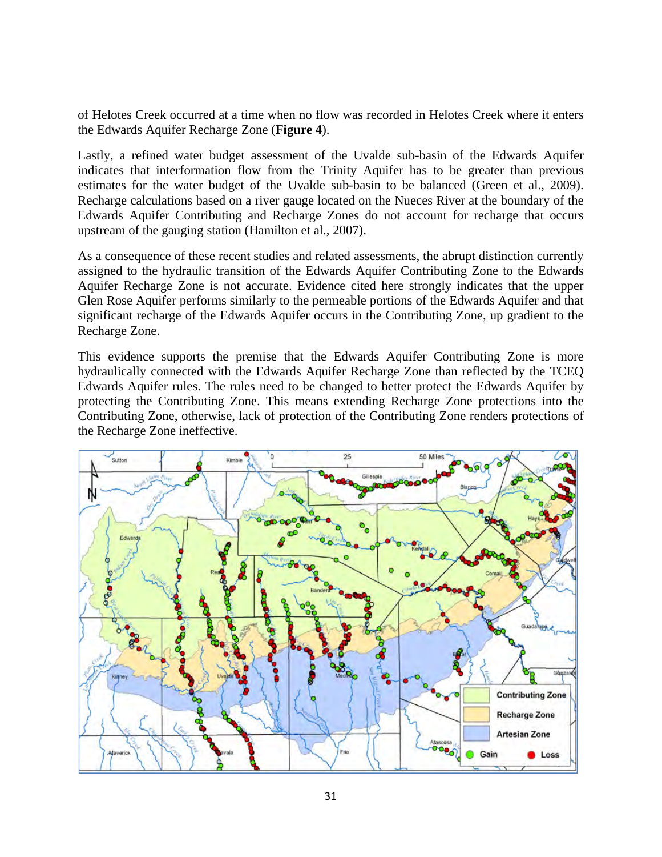of Helotes Creek occurred at a time when no flow was recorded in Helotes Creek where it enters the Edwards Aquifer Recharge Zone (**Figure 4**).

Lastly, a refined water budget assessment of the Uvalde sub-basin of the Edwards Aquifer indicates that interformation flow from the Trinity Aquifer has to be greater than previous estimates for the water budget of the Uvalde sub-basin to be balanced (Green et al., 2009). Recharge calculations based on a river gauge located on the Nueces River at the boundary of the Edwards Aquifer Contributing and Recharge Zones do not account for recharge that occurs upstream of the gauging station (Hamilton et al., 2007).

As a consequence of these recent studies and related assessments, the abrupt distinction currently assigned to the hydraulic transition of the Edwards Aquifer Contributing Zone to the Edwards Aquifer Recharge Zone is not accurate. Evidence cited here strongly indicates that the upper Glen Rose Aquifer performs similarly to the permeable portions of the Edwards Aquifer and that significant recharge of the Edwards Aquifer occurs in the Contributing Zone, up gradient to the Recharge Zone.

This evidence supports the premise that the Edwards Aquifer Contributing Zone is more hydraulically connected with the Edwards Aquifer Recharge Zone than reflected by the TCEQ Edwards Aquifer rules. The rules need to be changed to better protect the Edwards Aquifer by protecting the Contributing Zone. This means extending Recharge Zone protections into the Contributing Zone, otherwise, lack of protection of the Contributing Zone renders protections of the Recharge Zone ineffective.

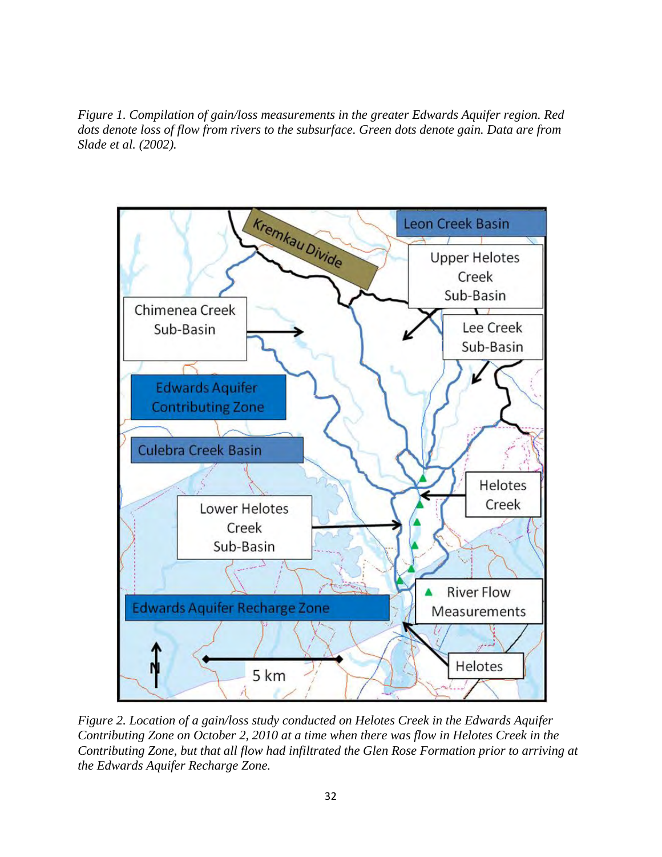*Figure 1. Compilation of gain/loss measurements in the greater Edwards Aquifer region. Red dots denote loss of flow from rivers to the subsurface. Green dots denote gain. Data are from Slade et al. (2002).* 



*Figure 2. Location of a gain/loss study conducted on Helotes Creek in the Edwards Aquifer Contributing Zone on October 2, 2010 at a time when there was flow in Helotes Creek in the Contributing Zone, but that all flow had infiltrated the Glen Rose Formation prior to arriving at the Edwards Aquifer Recharge Zone.*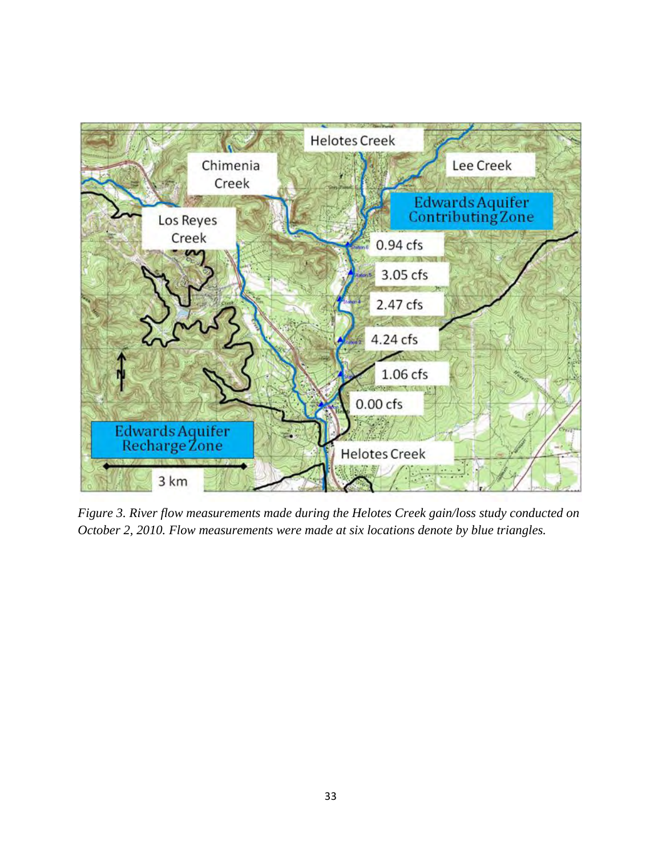

*Figure 3. River flow measurements made during the Helotes Creek gain/loss study conducted on October 2, 2010. Flow measurements were made at six locations denote by blue triangles.*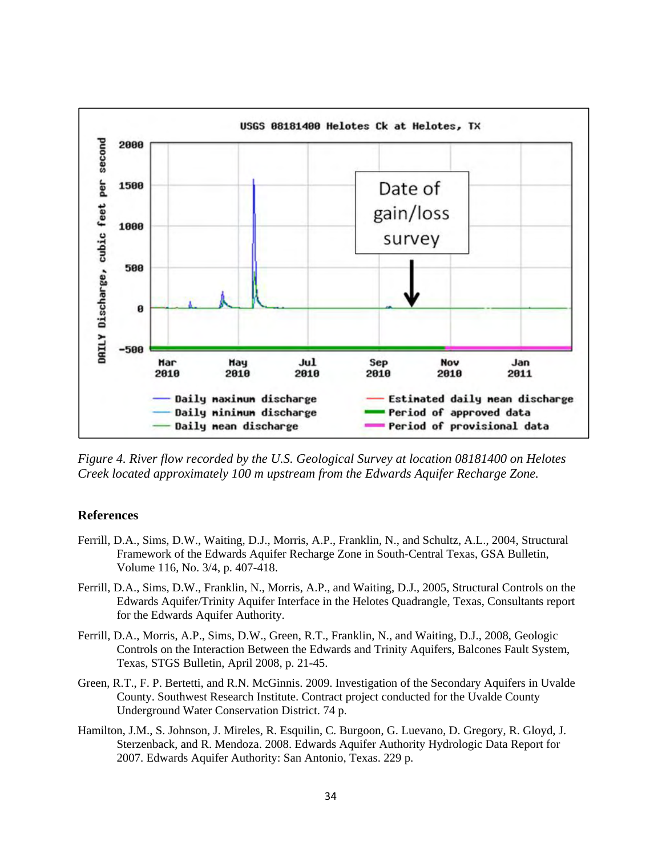

*Figure 4. River flow recorded by the U.S. Geological Survey at location 08181400 on Helotes Creek located approximately 100 m upstream from the Edwards Aquifer Recharge Zone.* 

## **References**

- Ferrill, D.A., Sims, D.W., Waiting, D.J., Morris, A.P., Franklin, N., and Schultz, A.L., 2004, Structural Framework of the Edwards Aquifer Recharge Zone in South-Central Texas, GSA Bulletin, Volume 116, No. 3/4, p. 407-418.
- Ferrill, D.A., Sims, D.W., Franklin, N., Morris, A.P., and Waiting, D.J., 2005, Structural Controls on the Edwards Aquifer/Trinity Aquifer Interface in the Helotes Quadrangle, Texas, Consultants report for the Edwards Aquifer Authority.
- Ferrill, D.A., Morris, A.P., Sims, D.W., Green, R.T., Franklin, N., and Waiting, D.J., 2008, Geologic Controls on the Interaction Between the Edwards and Trinity Aquifers, Balcones Fault System, Texas, STGS Bulletin, April 2008, p. 21-45.
- Green, R.T., F. P. Bertetti, and R.N. McGinnis. 2009. Investigation of the Secondary Aquifers in Uvalde County. Southwest Research Institute. Contract project conducted for the Uvalde County Underground Water Conservation District. 74 p.
- Hamilton, J.M., S. Johnson, J. Mireles, R. Esquilin, C. Burgoon, G. Luevano, D. Gregory, R. Gloyd, J. Sterzenback, and R. Mendoza. 2008. Edwards Aquifer Authority Hydrologic Data Report for 2007. Edwards Aquifer Authority: San Antonio, Texas. 229 p.